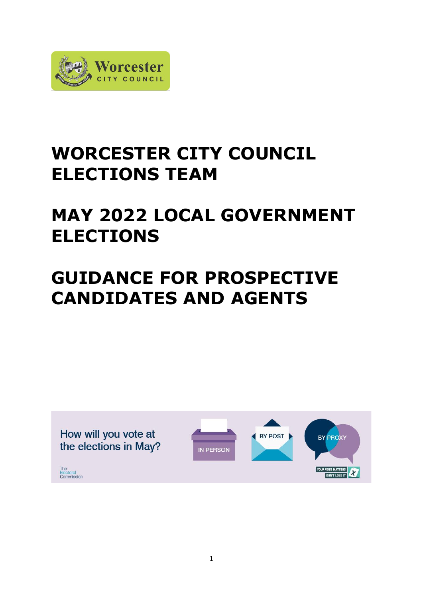

# **WORCESTER CITY COUNCIL ELECTIONS TEAM**

# **MAY 2022 LOCAL GOVERNMENT ELECTIONS**

# **GUIDANCE FOR PROSPECTIVE CANDIDATES AND AGENTS**

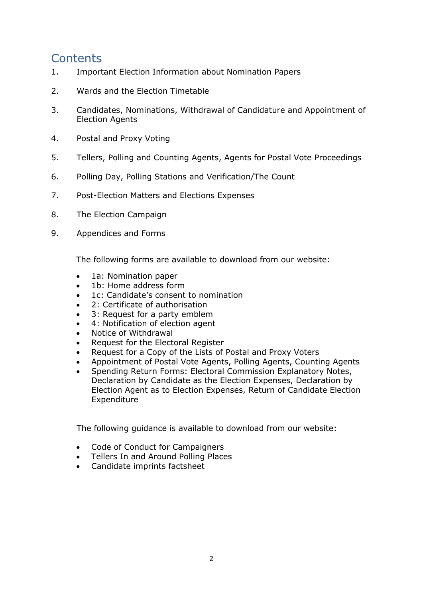## **Contents**

- 1. Important Election Information about Nomination Papers
- 2. Wards and the Election Timetable
- 3. Candidates, Nominations, Withdrawal of Candidature and Appointment of Election Agents
- 4. Postal and Proxy Voting
- 5. Tellers, Polling and Counting Agents, Agents for Postal Vote Proceedings
- 6. Polling Day, Polling Stations and Verification/The Count
- 7. Post-Election Matters and Elections Expenses
- 8. The Election Campaign
- 9. Appendices and Forms

The following forms are available to download from our website:

- 1a: Nomination paper
- 1b: Home address form
- 1c: Candidate's consent to nomination
- 2: Certificate of authorisation
- 3: Request for a party emblem
- 4: Notification of election agent
- Notice of Withdrawal
- Request for the Electoral Register
- Request for a Copy of the Lists of Postal and Proxy Voters
- Appointment of Postal Vote Agents, Polling Agents, Counting Agents
- Spending Return Forms: Electoral Commission Explanatory Notes, Declaration by Candidate as the Election Expenses, Declaration by Election Agent as to Election Expenses, Return of Candidate Election Expenditure

The following guidance is available to download from our website:

- Code of Conduct for Campaigners
- Tellers In and Around Polling Places
- Candidate imprints factsheet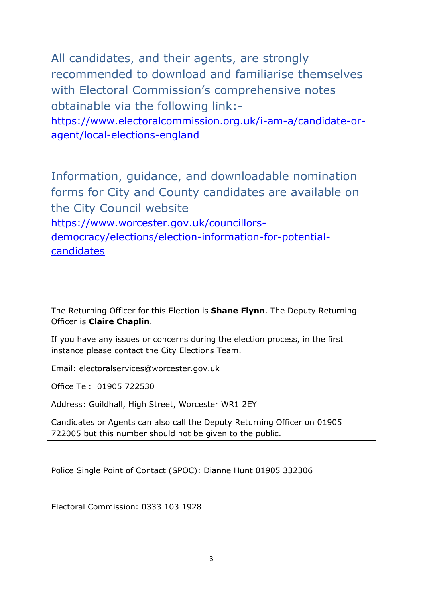All candidates, and their agents, are strongly recommended to download and familiarise themselves with Electoral Commission's comprehensive notes obtainable via the following link:-

[https://www.electoralcommission.org.uk/i-am-a/candidate-or](https://www.electoralcommission.org.uk/i-am-a/candidate-or-agent/local-elections-england)[agent/local-elections-england](https://www.electoralcommission.org.uk/i-am-a/candidate-or-agent/local-elections-england)

Information, guidance, and downloadable nomination forms for City and County candidates are available on the City Council website [https://www.worcester.gov.uk/councillors-](https://www.worcester.gov.uk/councillors-democracy/elections/election-information-for-potential-candidates)

[democracy/elections/election-information-for-potential](https://www.worcester.gov.uk/councillors-democracy/elections/election-information-for-potential-candidates)[candidates](https://www.worcester.gov.uk/councillors-democracy/elections/election-information-for-potential-candidates)

The Returning Officer for this Election is **Shane Flynn**. The Deputy Returning Officer is **Claire Chaplin**.

If you have any issues or concerns during the election process, in the first instance please contact the City Elections Team.

Email: electoralservices@worcester.gov.uk

Office Tel: 01905 722530

Address: Guildhall, High Street, Worcester WR1 2EY

Candidates or Agents can also call the Deputy Returning Officer on 01905 722005 but this number should not be given to the public.

Police Single Point of Contact (SPOC): Dianne Hunt 01905 332306

Electoral Commission: 0333 103 1928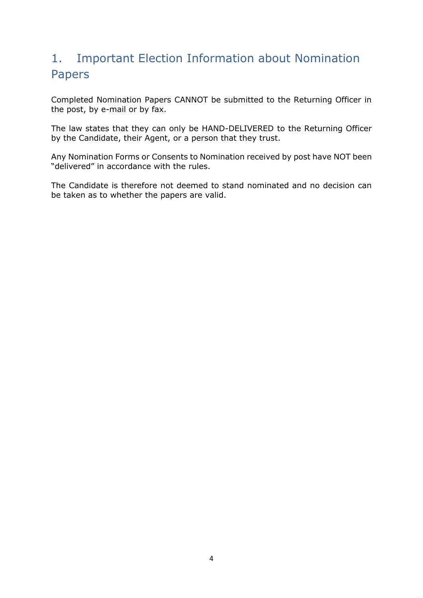# 1. Important Election Information about Nomination Papers

Completed Nomination Papers CANNOT be submitted to the Returning Officer in the post, by e-mail or by fax.

The law states that they can only be HAND-DELIVERED to the Returning Officer by the Candidate, their Agent, or a person that they trust.

Any Nomination Forms or Consents to Nomination received by post have NOT been "delivered" in accordance with the rules.

The Candidate is therefore not deemed to stand nominated and no decision can be taken as to whether the papers are valid.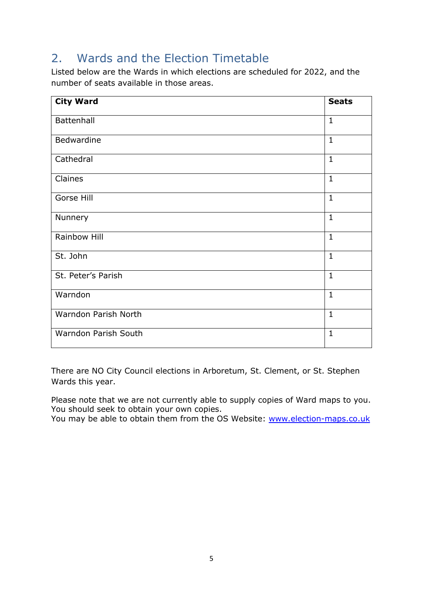# 2. Wards and the Election Timetable

Listed below are the Wards in which elections are scheduled for 2022, and the number of seats available in those areas.

| <b>City Ward</b>     | <b>Seats</b> |
|----------------------|--------------|
| Battenhall           | $\mathbf{1}$ |
| <b>Bedwardine</b>    | $\mathbf{1}$ |
| Cathedral            | $\mathbf{1}$ |
| Claines              | $\mathbf{1}$ |
| Gorse Hill           | $\mathbf{1}$ |
| Nunnery              | $\mathbf{1}$ |
| Rainbow Hill         | $\mathbf{1}$ |
| St. John             | $\mathbf{1}$ |
| St. Peter's Parish   | $\mathbf{1}$ |
| Warndon              | $\mathbf{1}$ |
| Warndon Parish North | $\mathbf{1}$ |
| Warndon Parish South | $\mathbf{1}$ |

There are NO City Council elections in Arboretum, St. Clement, or St. Stephen Wards this year.

Please note that we are not currently able to supply copies of Ward maps to you. You should seek to obtain your own copies.

You may be able to obtain them from the OS Website: [www.election-maps.co.uk](http://www.election-maps.co.uk/)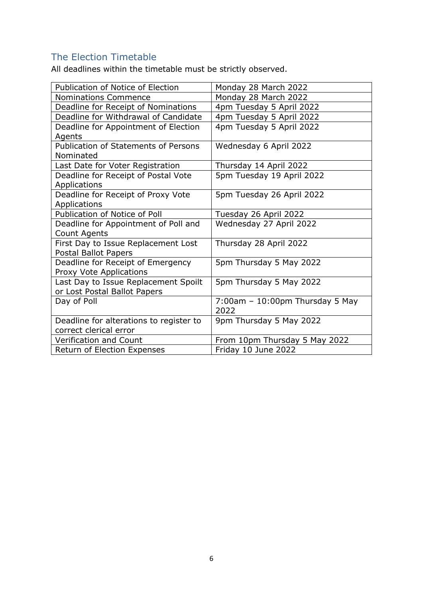## The Election Timetable

All deadlines within the timetable must be strictly observed.

| <b>Publication of Notice of Election</b> | Monday 28 March 2022               |
|------------------------------------------|------------------------------------|
| Nominations Commence                     | Monday 28 March 2022               |
| Deadline for Receipt of Nominations      | 4pm Tuesday 5 April 2022           |
| Deadline for Withdrawal of Candidate     | 4pm Tuesday 5 April 2022           |
| Deadline for Appointment of Election     | 4pm Tuesday 5 April 2022           |
| Agents                                   |                                    |
| Publication of Statements of Persons     | Wednesday 6 April 2022             |
| Nominated                                |                                    |
| Last Date for Voter Registration         | Thursday 14 April 2022             |
| Deadline for Receipt of Postal Vote      | 5pm Tuesday 19 April 2022          |
| Applications                             |                                    |
| Deadline for Receipt of Proxy Vote       | 5pm Tuesday 26 April 2022          |
| Applications                             |                                    |
| Publication of Notice of Poll            | Tuesday 26 April 2022              |
| Deadline for Appointment of Poll and     | Wednesday 27 April 2022            |
| Count Agents                             |                                    |
| First Day to Issue Replacement Lost      | Thursday 28 April 2022             |
| Postal Ballot Papers                     |                                    |
| Deadline for Receipt of Emergency        | 5pm Thursday 5 May 2022            |
| Proxy Vote Applications                  |                                    |
| Last Day to Issue Replacement Spoilt     | 5pm Thursday 5 May 2022            |
| or Lost Postal Ballot Papers             |                                    |
| Day of Poll                              | $7:00$ am - 10:00pm Thursday 5 May |
|                                          | 2022                               |
| Deadline for alterations to register to  | 9pm Thursday 5 May 2022            |
| correct clerical error                   |                                    |
| <b>Verification and Count</b>            | From 10pm Thursday 5 May 2022      |
| Return of Election Expenses              | Friday 10 June 2022                |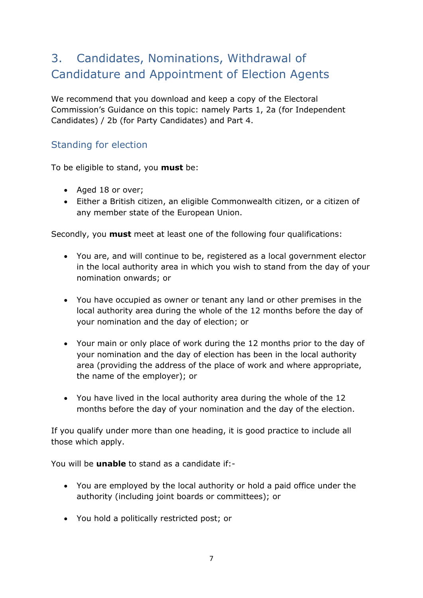# 3. Candidates, Nominations, Withdrawal of Candidature and Appointment of Election Agents

We recommend that you download and keep a copy of the Electoral Commission's Guidance on this topic: namely Parts 1, 2a (for Independent Candidates) / 2b (for Party Candidates) and Part 4.

### Standing for election

To be eligible to stand, you **must** be:

- Aged 18 or over;
- Either a British citizen, an eligible Commonwealth citizen, or a citizen of any member state of the European Union.

Secondly, you **must** meet at least one of the following four qualifications:

- You are, and will continue to be, registered as a local government elector in the local authority area in which you wish to stand from the day of your nomination onwards; or
- You have occupied as owner or tenant any land or other premises in the local authority area during the whole of the 12 months before the day of your nomination and the day of election; or
- Your main or only place of work during the 12 months prior to the day of your nomination and the day of election has been in the local authority area (providing the address of the place of work and where appropriate, the name of the employer); or
- You have lived in the local authority area during the whole of the 12 months before the day of your nomination and the day of the election.

If you qualify under more than one heading, it is good practice to include all those which apply.

You will be **unable** to stand as a candidate if:-

- You are employed by the local authority or hold a paid office under the authority (including joint boards or committees); or
- You hold a politically restricted post; or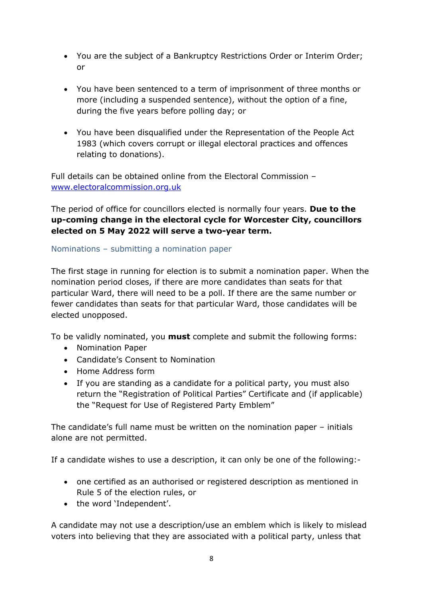- You are the subject of a Bankruptcy Restrictions Order or Interim Order; or
- You have been sentenced to a term of imprisonment of three months or more (including a suspended sentence), without the option of a fine, during the five years before polling day; or
- You have been disqualified under the Representation of the People Act 1983 (which covers corrupt or illegal electoral practices and offences relating to donations).

Full details can be obtained online from the Electoral Commission – [www.electoralcommission.org.uk](http://www.electoralcommission.org.uk/)

The period of office for councillors elected is normally four years. **Due to the up-coming change in the electoral cycle for Worcester City, councillors elected on 5 May 2022 will serve a two-year term.**

Nominations – submitting a nomination paper

The first stage in running for election is to submit a nomination paper. When the nomination period closes, if there are more candidates than seats for that particular Ward, there will need to be a poll. If there are the same number or fewer candidates than seats for that particular Ward, those candidates will be elected unopposed.

To be validly nominated, you **must** complete and submit the following forms:

- Nomination Paper
- Candidate's Consent to Nomination
- Home Address form
- If you are standing as a candidate for a political party, you must also return the "Registration of Political Parties" Certificate and (if applicable) the "Request for Use of Registered Party Emblem"

The candidate's full name must be written on the nomination paper – initials alone are not permitted.

If a candidate wishes to use a description, it can only be one of the following:-

- one certified as an authorised or registered description as mentioned in Rule 5 of the election rules, or
- the word 'Independent'.

A candidate may not use a description/use an emblem which is likely to mislead voters into believing that they are associated with a political party, unless that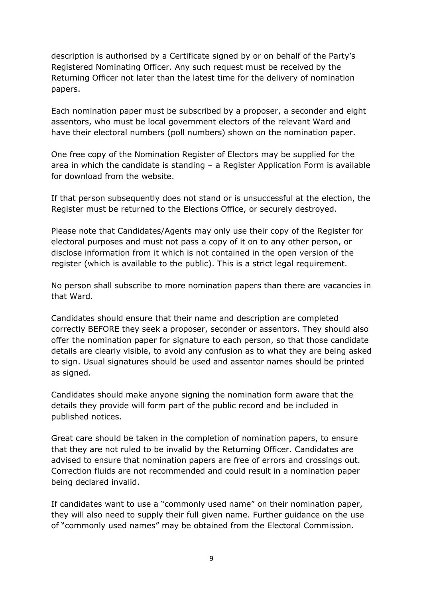description is authorised by a Certificate signed by or on behalf of the Party's Registered Nominating Officer. Any such request must be received by the Returning Officer not later than the latest time for the delivery of nomination papers.

Each nomination paper must be subscribed by a proposer, a seconder and eight assentors, who must be local government electors of the relevant Ward and have their electoral numbers (poll numbers) shown on the nomination paper.

One free copy of the Nomination Register of Electors may be supplied for the area in which the candidate is standing – a Register Application Form is available for download from the website.

If that person subsequently does not stand or is unsuccessful at the election, the Register must be returned to the Elections Office, or securely destroyed.

Please note that Candidates/Agents may only use their copy of the Register for electoral purposes and must not pass a copy of it on to any other person, or disclose information from it which is not contained in the open version of the register (which is available to the public). This is a strict legal requirement.

No person shall subscribe to more nomination papers than there are vacancies in that Ward.

Candidates should ensure that their name and description are completed correctly BEFORE they seek a proposer, seconder or assentors. They should also offer the nomination paper for signature to each person, so that those candidate details are clearly visible, to avoid any confusion as to what they are being asked to sign. Usual signatures should be used and assentor names should be printed as signed.

Candidates should make anyone signing the nomination form aware that the details they provide will form part of the public record and be included in published notices.

Great care should be taken in the completion of nomination papers, to ensure that they are not ruled to be invalid by the Returning Officer. Candidates are advised to ensure that nomination papers are free of errors and crossings out. Correction fluids are not recommended and could result in a nomination paper being declared invalid.

If candidates want to use a "commonly used name" on their nomination paper, they will also need to supply their full given name. Further guidance on the use of "commonly used names" may be obtained from the Electoral Commission.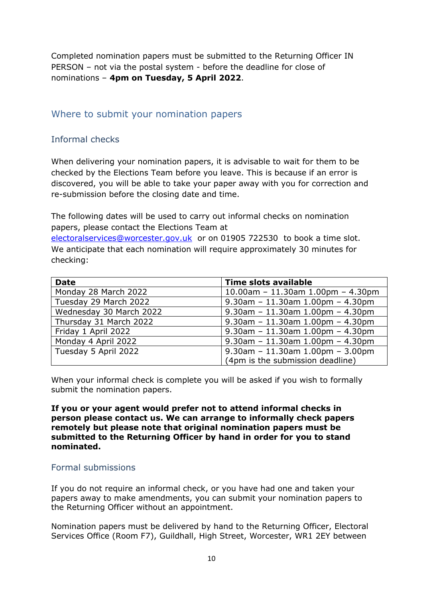Completed nomination papers must be submitted to the Returning Officer IN PERSON – not via the postal system - before the deadline for close of nominations – **4pm on Tuesday, 5 April 2022**.

#### Where to submit your nomination papers

#### Informal checks

When delivering your nomination papers, it is advisable to wait for them to be checked by the Elections Team before you leave. This is because if an error is discovered, you will be able to take your paper away with you for correction and re-submission before the closing date and time.

The following dates will be used to carry out informal checks on nomination papers, please contact the Elections Team at [electoralservices@worcester.gov.uk](mailto:electoralservices@worcester.gov.uk) or on 01905 722530 to book a time slot. We anticipate that each nomination will require approximately 30 minutes for checking:

| <b>Date</b>             | <b>Time slots available</b>          |  |
|-------------------------|--------------------------------------|--|
| Monday 28 March 2022    | $10.00$ am - 11.30am 1.00pm - 4.30pm |  |
| Tuesday 29 March 2022   | $9.30$ am - 11.30am 1.00pm - 4.30pm  |  |
| Wednesday 30 March 2022 | $9.30$ am - 11.30am 1.00pm - 4.30pm  |  |
| Thursday 31 March 2022  | $9.30$ am - 11.30am 1.00pm - 4.30pm  |  |
| Friday 1 April 2022     | $9.30$ am - 11.30am 1.00pm - 4.30pm  |  |
| Monday 4 April 2022     | $9.30$ am - 11.30am 1.00pm - 4.30pm  |  |
| Tuesday 5 April 2022    | $9.30$ am - 11.30am 1.00pm - 3.00pm  |  |
|                         | (4pm is the submission deadline)     |  |

When your informal check is complete you will be asked if you wish to formally submit the nomination papers.

**If you or your agent would prefer not to attend informal checks in person please contact us. We can arrange to informally check papers remotely but please note that original nomination papers must be submitted to the Returning Officer by hand in order for you to stand nominated.**

#### Formal submissions

If you do not require an informal check, or you have had one and taken your papers away to make amendments, you can submit your nomination papers to the Returning Officer without an appointment.

Nomination papers must be delivered by hand to the Returning Officer, Electoral Services Office (Room F7), Guildhall, High Street, Worcester, WR1 2EY between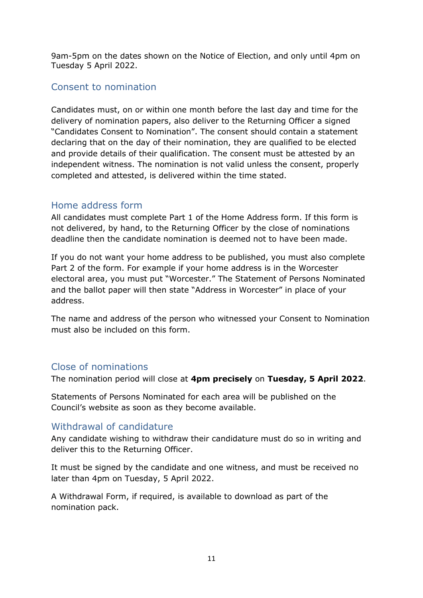9am-5pm on the dates shown on the Notice of Election, and only until 4pm on Tuesday 5 April 2022.

#### Consent to nomination

Candidates must, on or within one month before the last day and time for the delivery of nomination papers, also deliver to the Returning Officer a signed "Candidates Consent to Nomination". The consent should contain a statement declaring that on the day of their nomination, they are qualified to be elected and provide details of their qualification. The consent must be attested by an independent witness. The nomination is not valid unless the consent, properly completed and attested, is delivered within the time stated.

#### Home address form

All candidates must complete Part 1 of the Home Address form. If this form is not delivered, by hand, to the Returning Officer by the close of nominations deadline then the candidate nomination is deemed not to have been made.

If you do not want your home address to be published, you must also complete Part 2 of the form. For example if your home address is in the Worcester electoral area, you must put "Worcester." The Statement of Persons Nominated and the ballot paper will then state "Address in Worcester" in place of your address.

The name and address of the person who witnessed your Consent to Nomination must also be included on this form.

## Close of nominations

The nomination period will close at **4pm precisely** on **Tuesday, 5 April 2022**.

Statements of Persons Nominated for each area will be published on the Council's website as soon as they become available.

#### Withdrawal of candidature

Any candidate wishing to withdraw their candidature must do so in writing and deliver this to the Returning Officer.

It must be signed by the candidate and one witness, and must be received no later than 4pm on Tuesday, 5 April 2022.

A Withdrawal Form, if required, is available to download as part of the nomination pack.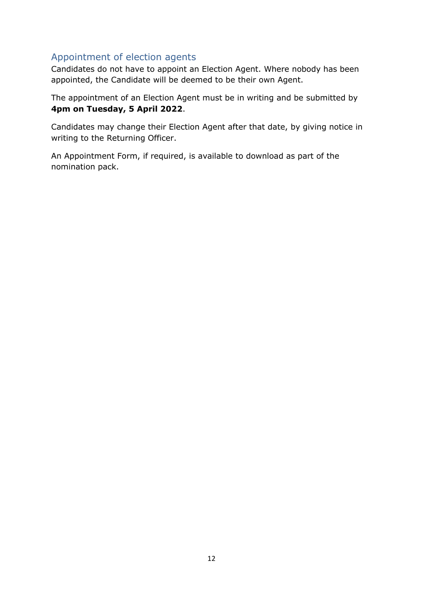## Appointment of election agents

Candidates do not have to appoint an Election Agent. Where nobody has been appointed, the Candidate will be deemed to be their own Agent.

The appointment of an Election Agent must be in writing and be submitted by **4pm on Tuesday, 5 April 2022**.

Candidates may change their Election Agent after that date, by giving notice in writing to the Returning Officer.

An Appointment Form, if required, is available to download as part of the nomination pack.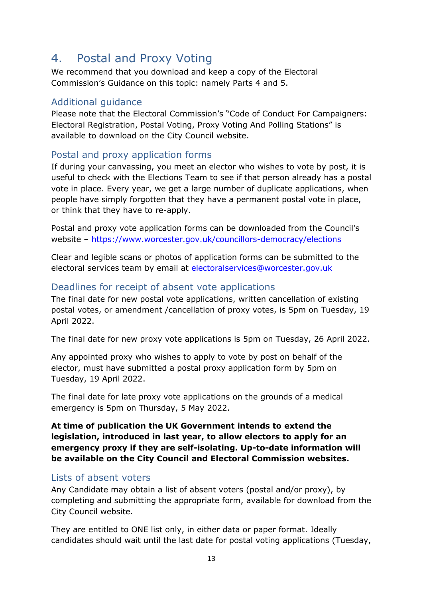## 4. Postal and Proxy Voting

We recommend that you download and keep a copy of the Electoral Commission's Guidance on this topic: namely Parts 4 and 5.

### Additional guidance

Please note that the Electoral Commission's "Code of Conduct For Campaigners: Electoral Registration, Postal Voting, Proxy Voting And Polling Stations" is available to download on the City Council website.

## Postal and proxy application forms

If during your canvassing, you meet an elector who wishes to vote by post, it is useful to check with the Elections Team to see if that person already has a postal vote in place. Every year, we get a large number of duplicate applications, when people have simply forgotten that they have a permanent postal vote in place, or think that they have to re-apply.

Postal and proxy vote application forms can be downloaded from the Council's website – <https://www.worcester.gov.uk/councillors-democracy/elections>

Clear and legible scans or photos of application forms can be submitted to the electoral services team by email at [electoralservices@worcester.gov.uk](mailto:electoralservices@worcester.gov.uk)

## Deadlines for receipt of absent vote applications

The final date for new postal vote applications, written cancellation of existing postal votes, or amendment /cancellation of proxy votes, is 5pm on Tuesday, 19 April 2022.

The final date for new proxy vote applications is 5pm on Tuesday, 26 April 2022.

Any appointed proxy who wishes to apply to vote by post on behalf of the elector, must have submitted a postal proxy application form by 5pm on Tuesday, 19 April 2022.

The final date for late proxy vote applications on the grounds of a medical emergency is 5pm on Thursday, 5 May 2022.

**At time of publication the UK Government intends to extend the legislation, introduced in last year, to allow electors to apply for an emergency proxy if they are self-isolating. Up-to-date information will be available on the City Council and Electoral Commission websites.**

#### Lists of absent voters

Any Candidate may obtain a list of absent voters (postal and/or proxy), by completing and submitting the appropriate form, available for download from the City Council website.

They are entitled to ONE list only, in either data or paper format. Ideally candidates should wait until the last date for postal voting applications (Tuesday,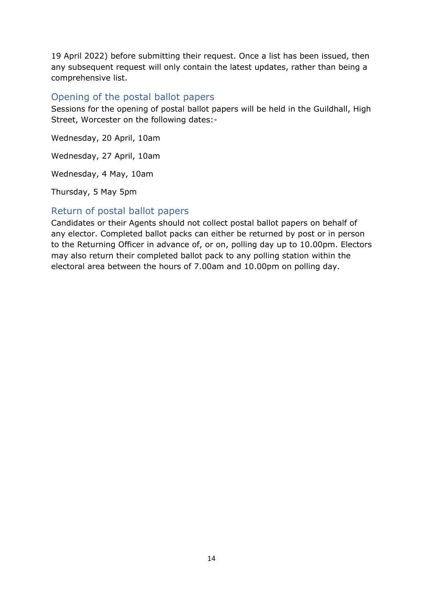19 April 2022) before submitting their request. Once a list has been issued, then any subsequent request will only contain the latest updates, rather than being a comprehensive list.

#### Opening of the postal ballot papers

Sessions for the opening of postal ballot papers will be held in the Guildhall, High Street, Worcester on the following dates:-

Wednesday, 20 April, 10am

Wednesday, 27 April, 10am

Wednesday, 4 May, 10am

Thursday, 5 May 5pm

#### Return of postal ballot papers

Candidates or their Agents should not collect postal ballot papers on behalf of any elector. Completed ballot packs can either be returned by post or in person to the Returning Officer in advance of, or on, polling day up to 10.00pm. Electors may also return their completed ballot pack to any polling station within the electoral area between the hours of 7.00am and 10.00pm on polling day.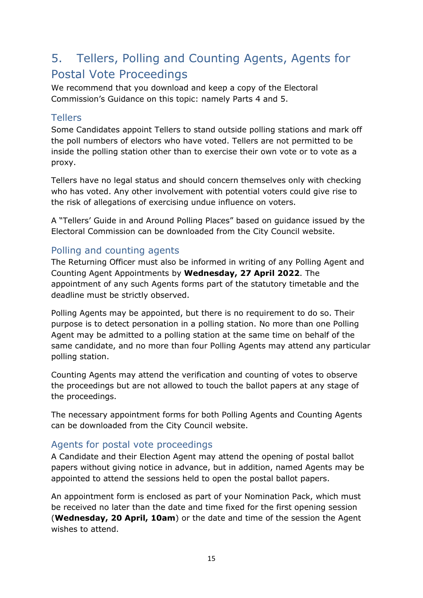# 5. Tellers, Polling and Counting Agents, Agents for Postal Vote Proceedings

We recommend that you download and keep a copy of the Electoral Commission's Guidance on this topic: namely Parts 4 and 5.

#### Tellers

Some Candidates appoint Tellers to stand outside polling stations and mark off the poll numbers of electors who have voted. Tellers are not permitted to be inside the polling station other than to exercise their own vote or to vote as a proxy.

Tellers have no legal status and should concern themselves only with checking who has voted. Any other involvement with potential voters could give rise to the risk of allegations of exercising undue influence on voters.

A "Tellers' Guide in and Around Polling Places" based on guidance issued by the Electoral Commission can be downloaded from the City Council website.

## Polling and counting agents

The Returning Officer must also be informed in writing of any Polling Agent and Counting Agent Appointments by **Wednesday, 27 April 2022**. The appointment of any such Agents forms part of the statutory timetable and the deadline must be strictly observed.

Polling Agents may be appointed, but there is no requirement to do so. Their purpose is to detect personation in a polling station. No more than one Polling Agent may be admitted to a polling station at the same time on behalf of the same candidate, and no more than four Polling Agents may attend any particular polling station.

Counting Agents may attend the verification and counting of votes to observe the proceedings but are not allowed to touch the ballot papers at any stage of the proceedings.

The necessary appointment forms for both Polling Agents and Counting Agents can be downloaded from the City Council website.

#### Agents for postal vote proceedings

A Candidate and their Election Agent may attend the opening of postal ballot papers without giving notice in advance, but in addition, named Agents may be appointed to attend the sessions held to open the postal ballot papers.

An appointment form is enclosed as part of your Nomination Pack, which must be received no later than the date and time fixed for the first opening session (**Wednesday, 20 April, 10am**) or the date and time of the session the Agent wishes to attend.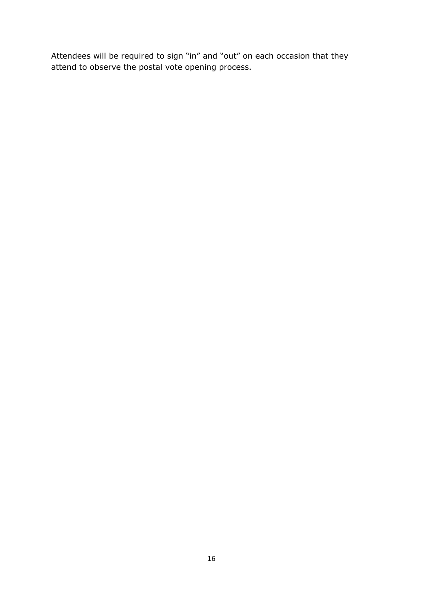Attendees will be required to sign "in" and "out" on each occasion that they attend to observe the postal vote opening process.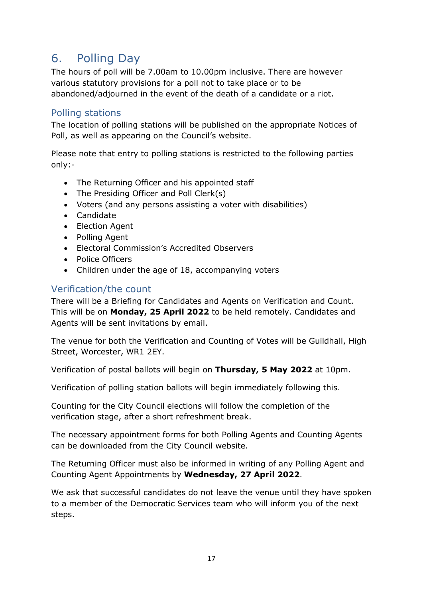## 6. Polling Day

The hours of poll will be 7.00am to 10.00pm inclusive. There are however various statutory provisions for a poll not to take place or to be abandoned/adjourned in the event of the death of a candidate or a riot.

#### Polling stations

The location of polling stations will be published on the appropriate Notices of Poll, as well as appearing on the Council's website.

Please note that entry to polling stations is restricted to the following parties only:-

- The Returning Officer and his appointed staff
- The Presiding Officer and Poll Clerk(s)
- Voters (and any persons assisting a voter with disabilities)
- Candidate
- Election Agent
- Polling Agent
- Electoral Commission's Accredited Observers
- Police Officers
- Children under the age of 18, accompanying voters

#### Verification/the count

There will be a Briefing for Candidates and Agents on Verification and Count. This will be on **Monday, 25 April 2022** to be held remotely. Candidates and Agents will be sent invitations by email.

The venue for both the Verification and Counting of Votes will be Guildhall, High Street, Worcester, WR1 2EY.

Verification of postal ballots will begin on **Thursday, 5 May 2022** at 10pm.

Verification of polling station ballots will begin immediately following this.

Counting for the City Council elections will follow the completion of the verification stage, after a short refreshment break.

The necessary appointment forms for both Polling Agents and Counting Agents can be downloaded from the City Council website.

The Returning Officer must also be informed in writing of any Polling Agent and Counting Agent Appointments by **Wednesday, 27 April 2022**.

We ask that successful candidates do not leave the venue until they have spoken to a member of the Democratic Services team who will inform you of the next steps.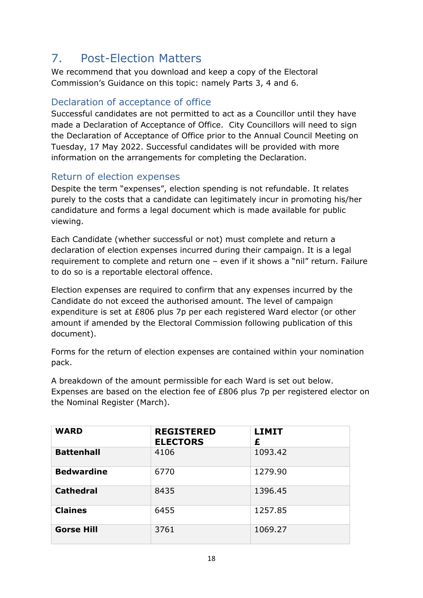# 7. Post-Election Matters

We recommend that you download and keep a copy of the Electoral Commission's Guidance on this topic: namely Parts 3, 4 and 6.

## Declaration of acceptance of office

Successful candidates are not permitted to act as a Councillor until they have made a Declaration of Acceptance of Office. City Councillors will need to sign the Declaration of Acceptance of Office prior to the Annual Council Meeting on Tuesday, 17 May 2022. Successful candidates will be provided with more information on the arrangements for completing the Declaration.

## Return of election expenses

Despite the term "expenses", election spending is not refundable. It relates purely to the costs that a candidate can legitimately incur in promoting his/her candidature and forms a legal document which is made available for public viewing.

Each Candidate (whether successful or not) must complete and return a declaration of election expenses incurred during their campaign. It is a legal requirement to complete and return one – even if it shows a "nil" return. Failure to do so is a reportable electoral offence.

Election expenses are required to confirm that any expenses incurred by the Candidate do not exceed the authorised amount. The level of campaign expenditure is set at £806 plus 7p per each registered Ward elector (or other amount if amended by the Electoral Commission following publication of this document).

Forms for the return of election expenses are contained within your nomination pack.

A breakdown of the amount permissible for each Ward is set out below. Expenses are based on the election fee of £806 plus 7p per registered elector on the Nominal Register (March).

| <b>WARD</b>       | <b>REGISTERED</b><br><b>ELECTORS</b> | <b>LIMIT</b><br>£ |
|-------------------|--------------------------------------|-------------------|
| <b>Battenhall</b> | 4106                                 | 1093.42           |
| <b>Bedwardine</b> | 6770                                 | 1279.90           |
| <b>Cathedral</b>  | 8435                                 | 1396.45           |
| <b>Claines</b>    | 6455                                 | 1257.85           |
| <b>Gorse Hill</b> | 3761                                 | 1069.27           |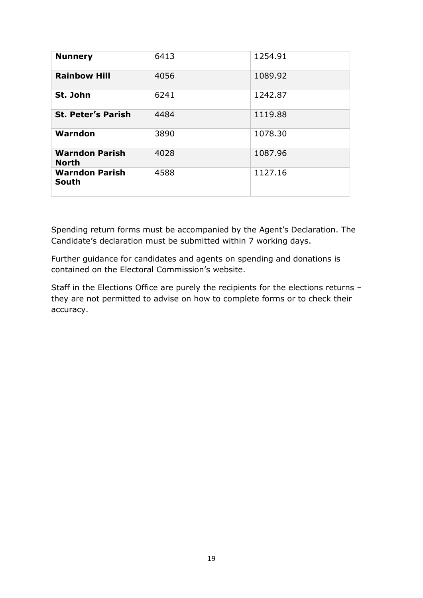| <b>Nunnery</b>                        | 6413 | 1254.91 |
|---------------------------------------|------|---------|
| <b>Rainbow Hill</b>                   | 4056 | 1089.92 |
| St. John                              | 6241 | 1242.87 |
| <b>St. Peter's Parish</b>             | 4484 | 1119.88 |
| Warndon                               | 3890 | 1078.30 |
| <b>Warndon Parish</b><br><b>North</b> | 4028 | 1087.96 |
| <b>Warndon Parish</b><br>South        | 4588 | 1127.16 |

Spending return forms must be accompanied by the Agent's Declaration. The Candidate's declaration must be submitted within 7 working days.

Further guidance for candidates and agents on spending and donations is contained on the Electoral Commission's website.

Staff in the Elections Office are purely the recipients for the elections returns – they are not permitted to advise on how to complete forms or to check their accuracy.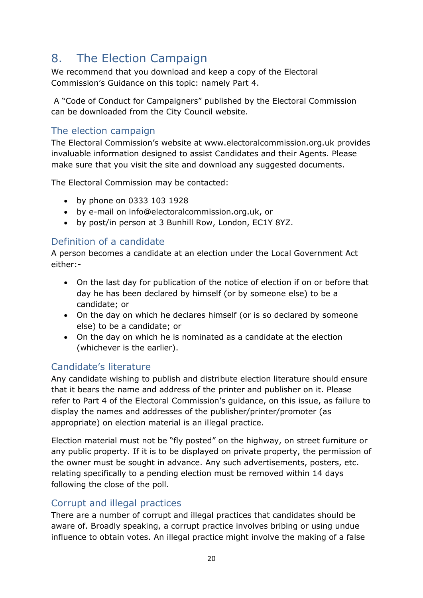# 8. The Election Campaign

We recommend that you download and keep a copy of the Electoral Commission's Guidance on this topic: namely Part 4.

A "Code of Conduct for Campaigners" published by the Electoral Commission can be downloaded from the City Council website.

## The election campaign

The Electoral Commission's website at www.electoralcommission.org.uk provides invaluable information designed to assist Candidates and their Agents. Please make sure that you visit the site and download any suggested documents.

The Electoral Commission may be contacted:

- by phone on 0333 103 1928
- by e-mail on info@electoralcommission.org.uk, or
- by post/in person at 3 Bunhill Row, London, EC1Y 8YZ.

#### Definition of a candidate

A person becomes a candidate at an election under the Local Government Act either:-

- On the last day for publication of the notice of election if on or before that day he has been declared by himself (or by someone else) to be a candidate; or
- On the day on which he declares himself (or is so declared by someone else) to be a candidate; or
- On the day on which he is nominated as a candidate at the election (whichever is the earlier).

#### Candidate's literature

Any candidate wishing to publish and distribute election literature should ensure that it bears the name and address of the printer and publisher on it. Please refer to Part 4 of the Electoral Commission's guidance, on this issue, as failure to display the names and addresses of the publisher/printer/promoter (as appropriate) on election material is an illegal practice.

Election material must not be "fly posted" on the highway, on street furniture or any public property. If it is to be displayed on private property, the permission of the owner must be sought in advance. Any such advertisements, posters, etc. relating specifically to a pending election must be removed within 14 days following the close of the poll.

#### Corrupt and illegal practices

There are a number of corrupt and illegal practices that candidates should be aware of. Broadly speaking, a corrupt practice involves bribing or using undue influence to obtain votes. An illegal practice might involve the making of a false